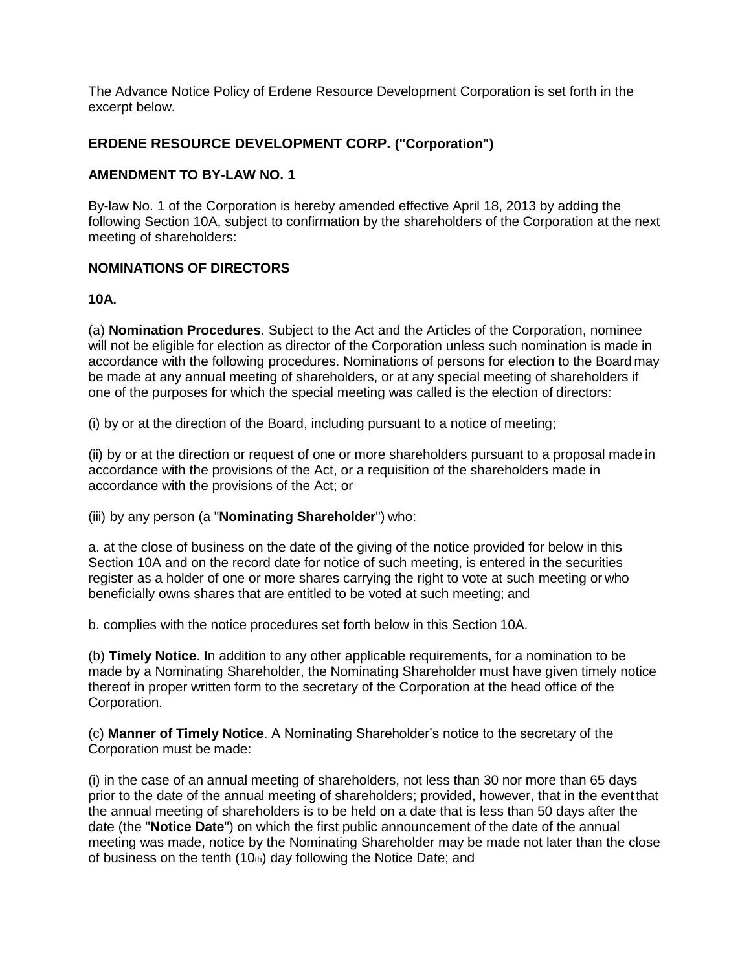The Advance Notice Policy of Erdene Resource Development Corporation is set forth in the excerpt below.

## **ERDENE RESOURCE DEVELOPMENT CORP. ("Corporation")**

## **AMENDMENT TO BY-LAW NO. 1**

By-law No. 1 of the Corporation is hereby amended effective April 18, 2013 by adding the following Section 10A, subject to confirmation by the shareholders of the Corporation at the next meeting of shareholders:

## **NOMINATIONS OF DIRECTORS**

## **10A.**

(a) **Nomination Procedures**. Subject to the Act and the Articles of the Corporation, nominee will not be eligible for election as director of the Corporation unless such nomination is made in accordance with the following procedures. Nominations of persons for election to the Board may be made at any annual meeting of shareholders, or at any special meeting of shareholders if one of the purposes for which the special meeting was called is the election of directors:

(i) by or at the direction of the Board, including pursuant to a notice of meeting;

(ii) by or at the direction or request of one or more shareholders pursuant to a proposal made in accordance with the provisions of the Act, or a requisition of the shareholders made in accordance with the provisions of the Act; or

(iii) by any person (a "**Nominating Shareholder**") who:

a. at the close of business on the date of the giving of the notice provided for below in this Section 10A and on the record date for notice of such meeting, is entered in the securities register as a holder of one or more shares carrying the right to vote at such meeting or who beneficially owns shares that are entitled to be voted at such meeting; and

b. complies with the notice procedures set forth below in this Section 10A.

(b) **Timely Notice**. In addition to any other applicable requirements, for a nomination to be made by a Nominating Shareholder, the Nominating Shareholder must have given timely notice thereof in proper written form to the secretary of the Corporation at the head office of the Corporation.

(c) **Manner of Timely Notice**. A Nominating Shareholder's notice to the secretary of the Corporation must be made:

(i) in the case of an annual meeting of shareholders, not less than 30 nor more than 65 days prior to the date of the annual meeting of shareholders; provided, however, that in the event that the annual meeting of shareholders is to be held on a date that is less than 50 days after the date (the "**Notice Date**") on which the first public announcement of the date of the annual meeting was made, notice by the Nominating Shareholder may be made not later than the close of business on the tenth (10th) day following the Notice Date; and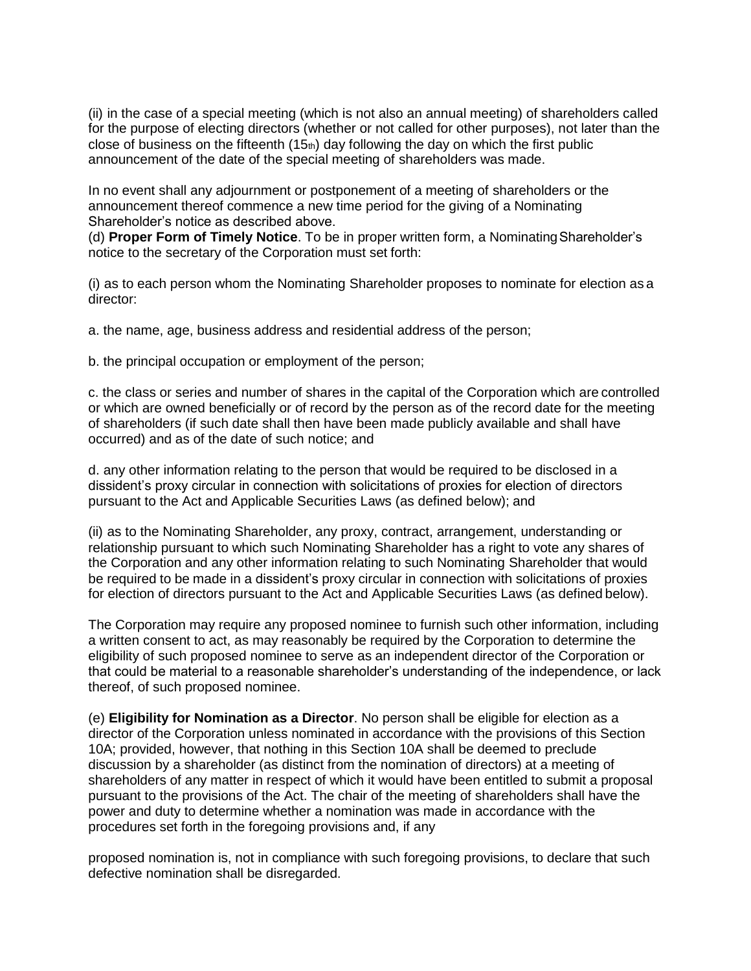(ii) in the case of a special meeting (which is not also an annual meeting) of shareholders called for the purpose of electing directors (whether or not called for other purposes), not later than the close of business on the fifteenth  $(15<sub>th</sub>)$  day following the day on which the first public announcement of the date of the special meeting of shareholders was made.

In no event shall any adjournment or postponement of a meeting of shareholders or the announcement thereof commence a new time period for the giving of a Nominating Shareholder's notice as described above.

(d) **Proper Form of Timely Notice**. To be in proper written form, a NominatingShareholder's notice to the secretary of the Corporation must set forth:

(i) as to each person whom the Nominating Shareholder proposes to nominate for election as a director:

a. the name, age, business address and residential address of the person;

b. the principal occupation or employment of the person;

c. the class or series and number of shares in the capital of the Corporation which are controlled or which are owned beneficially or of record by the person as of the record date for the meeting of shareholders (if such date shall then have been made publicly available and shall have occurred) and as of the date of such notice; and

d. any other information relating to the person that would be required to be disclosed in a dissident's proxy circular in connection with solicitations of proxies for election of directors pursuant to the Act and Applicable Securities Laws (as defined below); and

(ii) as to the Nominating Shareholder, any proxy, contract, arrangement, understanding or relationship pursuant to which such Nominating Shareholder has a right to vote any shares of the Corporation and any other information relating to such Nominating Shareholder that would be required to be made in a dissident's proxy circular in connection with solicitations of proxies for election of directors pursuant to the Act and Applicable Securities Laws (as defined below).

The Corporation may require any proposed nominee to furnish such other information, including a written consent to act, as may reasonably be required by the Corporation to determine the eligibility of such proposed nominee to serve as an independent director of the Corporation or that could be material to a reasonable shareholder's understanding of the independence, or lack thereof, of such proposed nominee.

(e) **Eligibility for Nomination as a Director**. No person shall be eligible for election as a director of the Corporation unless nominated in accordance with the provisions of this Section 10A; provided, however, that nothing in this Section 10A shall be deemed to preclude discussion by a shareholder (as distinct from the nomination of directors) at a meeting of shareholders of any matter in respect of which it would have been entitled to submit a proposal pursuant to the provisions of the Act. The chair of the meeting of shareholders shall have the power and duty to determine whether a nomination was made in accordance with the procedures set forth in the foregoing provisions and, if any

proposed nomination is, not in compliance with such foregoing provisions, to declare that such defective nomination shall be disregarded.